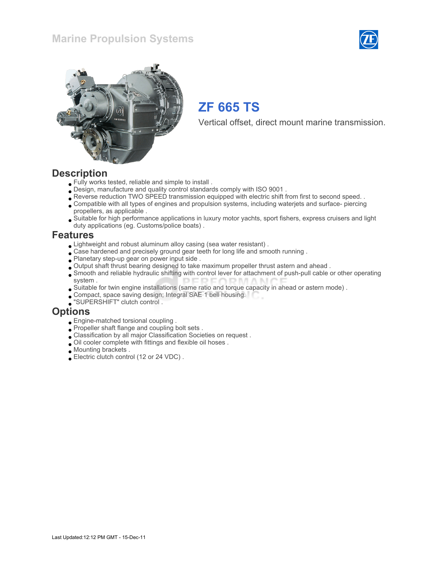### Marine Propulsion Systems





## ZF 665 TS

Vertical offset, direct mount marine transmission.

### **Description**

- Fully works tested, reliable and simple to install .
- Design, manufacture and quality control standards comply with ISO 9001 .
- Reverse reduction TWO SPEED transmission equipped with electric shift from first to second speed. .
- Compatible with all types of engines and propulsion systems, including waterjets and surface- piercing propellers, as applicable .
- Suitable for high performance applications in luxury motor yachts, sport fishers, express cruisers and light duty applications (eg. Customs/police boats) .

### Features

- Lightweight and robust aluminum alloy casing (sea water resistant) .
- Case hardened and precisely ground gear teeth for long life and smooth running.
- Planetary step-up gear on power input side .
- Output shaft thrust bearing designed to take maximum propeller thrust astern and ahead .
- Smooth and reliable hydraulic shifting with control lever for attachment of push-pull cable or other operating system .
- Suitable for twin engine installations (same ratio and torque capacity in ahead or astern mode) .
- Compact, space saving design; Integral SAE 1 bell housing.
- "SUPERSHIFT" clutch control .

### **Options**

- Engine-matched torsional coupling .
- Propeller shaft flange and coupling bolt sets .
- Classification by all major Classification Societies on request .
- Oil cooler complete with fittings and flexible oil hoses .
- Mounting brackets .
- Electric clutch control (12 or 24 VDC) .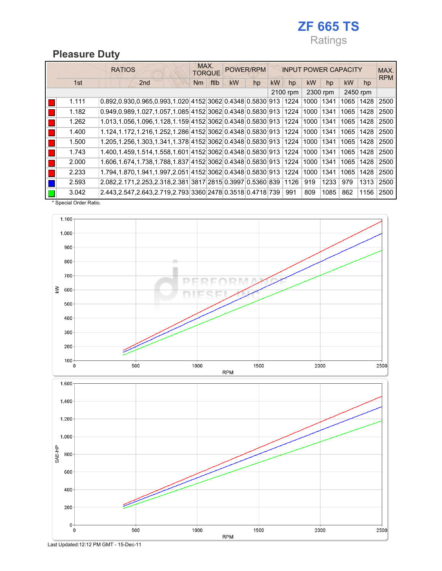## ZF 665 TS Ratings

### Pleasure Duty

|       | <b>RATIOS</b>                                                        | MAX.<br><b>TORQUE</b>  | POWER/RPM |    |    |          |      | <b>INPUT POWER CAPACITY</b> |          | MAX.<br><b>RPM</b> |      |
|-------|----------------------------------------------------------------------|------------------------|-----------|----|----|----------|------|-----------------------------|----------|--------------------|------|
| 1st   | 2 <sub>nd</sub>                                                      | ftlb<br>N <sub>m</sub> | kW        | hp | kW | hp       | kW   | hp                          | kW       | hp                 |      |
|       |                                                                      |                        |           |    |    | 2100 rpm |      | 2300 rpm                    | 2450 rpm |                    |      |
| 1.111 | $0.892, 0.930, 0.965, 0.993, 1.020$ 4152 3062 0.4348 0.5830 913 1224 |                        |           |    |    |          | 1000 | 1341                        | 1065     | 1428               | 2500 |
| 1.182 | 0.949.0.989.1.027.1.057.1.085 4152 3062 0.4348 0.5830 913 1224       |                        |           |    |    |          | 1000 | 1341                        | 1065     | 1428               | 2500 |
| 1.262 | 1.013.1.056.1.096.1.128.1.159 4152 3062 0.4348 0.5830 913 1224       |                        |           |    |    |          | 1000 | 1341                        | 1065     | 1428               | 2500 |
| 1.400 | 1.124,1.172,1.216,1.252,1.286 4152 3062 0.4348 0.5830 913 1224 1000  |                        |           |    |    |          |      | 1341                        | 1065     | 1428               | 2500 |
| 1.500 | 1.205,1.256,1.303,1.341,1.378 4152 3062 0.4348 0.5830 913 1224       |                        |           |    |    |          | 1000 | 1341                        | 1065     | 1428               | 2500 |
| 1.743 | 1.400,1.459,1.514,1.558,1.601 4152 3062 0.4348 0.5830 913 1224       |                        |           |    |    |          | 1000 | 1341                        | 1065     | 1428               | 2500 |
| 2.000 | 1.606,1.674,1.738,1.788,1.837 4152 3062 0.4348 0.5830 913            |                        |           |    |    | 1224     | 1000 | 1341                        | 1065     | 1428               | 2500 |
| 2.233 | 1.794,1.870,1.941,1.997,2.051 4152 3062 0.4348 0.5830 913 1224       |                        |           |    |    |          | 1000 | 1341                        | 1065     | 1428               | 2500 |
| 2.593 | 2.082, 2.171, 2.253, 2.318, 2.381 3817 2815 0.3997 0.5360 839        |                        |           |    |    | 1126     | 919  | 1233                        | 979      | 1313               | 2500 |
| 3.042 | 2.443,2.547,2.643,2.719,2.793 3360 2478 0.3518 0.4718 739            |                        |           |    |    | 991      | 809  | 1085                        | 862      | 1156               | 2500 |

\* Special Order Ratio.



Last Updated:12:12 PM GMT - 15-Dec-11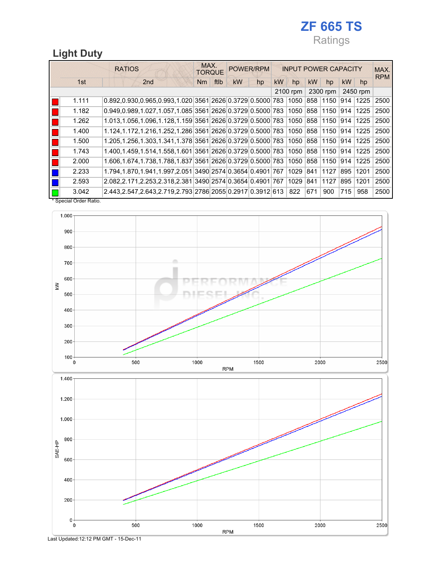## ZF 665 TS Ratings

## Light Duty

|                     | <b>RATIOS</b>                                                                 | MAX.<br><b>TORQUE</b> |      |           | POWER/RPM |    |          |     | <b>INPUT POWER CAPACITY</b> |           | MAX.<br><b>RPM</b> |      |
|---------------------|-------------------------------------------------------------------------------|-----------------------|------|-----------|-----------|----|----------|-----|-----------------------------|-----------|--------------------|------|
| 1st                 | 2 <sub>nd</sub>                                                               | Nm                    | ftlb | <b>kW</b> | hp        | kW | hp       | kW  | hp                          | <b>kW</b> | hp                 |      |
|                     |                                                                               |                       |      |           |           |    | 2100 rpm |     | 2300 rpm                    |           | 2450 rpm           |      |
| 1.111               | 0.892,0.930,0.965,0.993,1.020 3561 2626 0.3729 0.5000 783 1050                |                       |      |           |           |    |          |     | 858 1150                    | 914       | 1225               | 2500 |
| 1.182               | $0.949, 0.989, 1.027, 1.057, 1.085$ 3561 2626 0.3729 0.5000 783 1050 858 1150 |                       |      |           |           |    |          |     |                             | 914       | 1225               | 2500 |
| 1.262               | 1.013,1.056,1.096,1.128,1.159 3561 2626 0.3729 0.5000 783 1050 858 1150       |                       |      |           |           |    |          |     |                             | 914       | 1225               | 2500 |
| 1.400               | 1.124,1.172,1.216,1.252,1.286 3561 2626 0.3729 0.5000 783 1050 858 1150       |                       |      |           |           |    |          |     |                             | 914       | 1225               | 2500 |
| 1.500               | 1.205,1.256,1.303,1.341,1.378 3561 2626 0.3729 0.5000 783 1050 858 1150       |                       |      |           |           |    |          |     |                             | 914       | 1225               | 2500 |
| 1.743               | 1.400,1.459,1.514,1.558,1.601 3561 2626 0.3729 0.5000 783 1050 858 1150       |                       |      |           |           |    |          |     |                             | 914       | 1225               | 2500 |
| 2.000               | 1.606,1.674,1.738,1.788,1.837 3561 2626 0.3729 0.5000 783 1050 858 1150 914   |                       |      |           |           |    |          |     |                             |           | 1225               | 2500 |
| 2.233               | 1.794,1.870,1.941,1.997,2.051 3490 2574 0.3654 0.4901 767                     |                       |      |           |           |    | 1029     | 841 | 1127                        | 895       | 1201               | 2500 |
| 2.593               | 2.082,2.171,2.253,2.318,2.381 3490 2574 0.3654 0.4901 767                     |                       |      |           |           |    | 1029     | 841 | 1127                        | 895       | 1201               | 2500 |
| 3.042               | 2.443,2.547,2.643,2.719,2.793 2786 2055 0.2917 0.3912 613 822                 |                       |      |           |           |    |          | 671 | 900                         | 715       | 958                | 2500 |
| Snecial Order Ratio |                                                                               |                       |      |           |           |    |          |     |                             |           |                    |      |

 $_{\rm spec}$ 



Last Updated:12:12 PM GMT - 15-Dec-11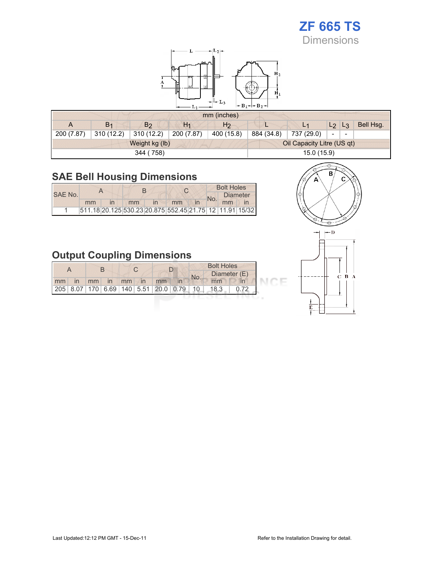# ZF 665 TS

Dimensions



#### mm (inches)

|            |                |                |            | $HIII$ (HIGHES) |            |                            |             |                          |           |
|------------|----------------|----------------|------------|-----------------|------------|----------------------------|-------------|--------------------------|-----------|
| A          | B <sub>1</sub> | B <sub>2</sub> | $H_1$      | H <sub>2</sub>  |            | L <sub>1</sub>             | $L_2$ $L_3$ |                          | Bell Hsg. |
| 200 (7.87) | 310 (12.2)     | 310 (12.2)     | 200 (7.87) | 400 (15.8)      | 884 (34.8) | 737 (29.0)                 | $\sim$      | $\overline{\phantom{a}}$ |           |
|            |                | Weight kg (lb) |            |                 |            | Oil Capacity Litre (US qt) |             |                          |           |
|            |                | 344 (758)      |            |                 |            | 15.0 (15.9)                |             |                          |           |

## SAE Bell Housing Dimensions

**DOWN** 

|         |    |    |                                                         |  | <b>Bolt Holes</b> |  |
|---------|----|----|---------------------------------------------------------|--|-------------------|--|
| SAE No. |    |    |                                                         |  | <b>Diameter</b>   |  |
|         | mm | mm | mm                                                      |  | mm                |  |
|         |    |    | 511.18 20.125 530.23 20.875 552.45 21.75 12 11.91 15/32 |  |                   |  |

## Output Coupling Dimensions

|    |    |    |    |    |    | <b>Bolt Holes</b> |                                         |     |      |              |
|----|----|----|----|----|----|-------------------|-----------------------------------------|-----|------|--------------|
|    |    |    |    |    |    |                   |                                         | No. |      | Diameter (E) |
| mm | in | mm | in | mm | in | mm                |                                         |     | mm   |              |
|    |    |    |    |    |    |                   | 205 8.07 170 6.69 140 5.51 20.0 0.79 10 |     | 18.3 |              |
|    |    |    |    |    |    |                   |                                         |     |      |              |